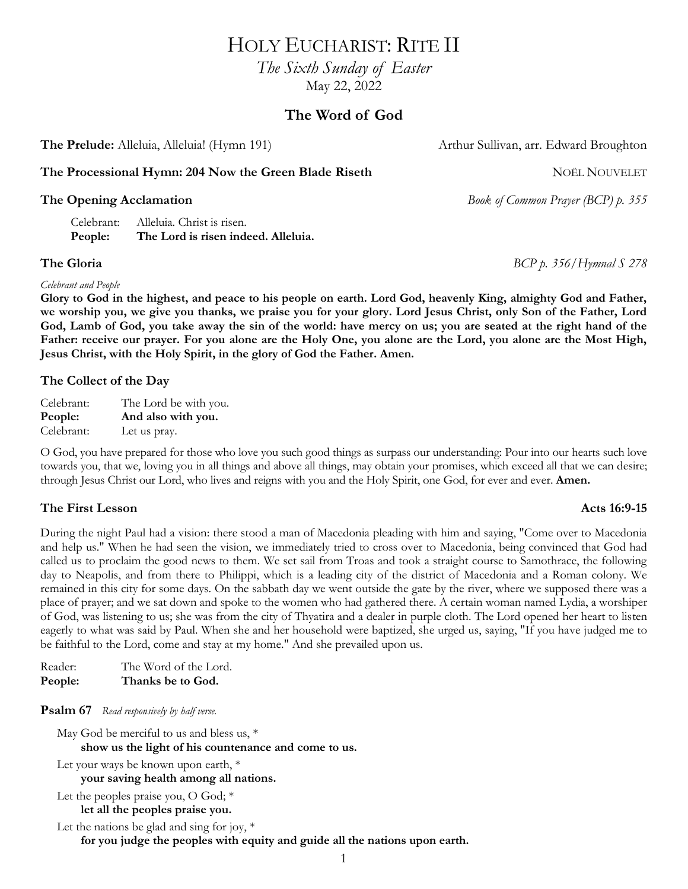# HOLY EUCHARIST: RITE II

*The Sixth Sunday of Easter* May 22, 2022

# **The Word of God**

**The Prelude:** Alleluia, Alleluia! (Hymn 191) Arthur Sullivan, arr. Edward Broughton

**The Processional Hymn: 204 Now the Green Blade Riseth NOËL NOUVELET** 

Celebrant: Alleluia. Christ is risen. **People: The Lord is risen indeed. Alleluia.**

*Celebrant and People*

**Glory to God in the highest, and peace to his people on earth. Lord God, heavenly King, almighty God and Father, we worship you, we give you thanks, we praise you for your glory. Lord Jesus Christ, only Son of the Father, Lord**  God, Lamb of God, you take away the sin of the world: have mercy on us; you are seated at the right hand of the **Father: receive our prayer. For you alone are the Holy One, you alone are the Lord, you alone are the Most High, Jesus Christ, with the Holy Spirit, in the glory of God the Father. Amen.**

# **The Collect of the Day**

| Celebrant: | The Lord be with you. |  |
|------------|-----------------------|--|
| People:    | And also with you.    |  |
| Celebrant: | Let us pray.          |  |

O God, you have prepared for those who love you such good things as surpass our understanding: Pour into our hearts such love towards you, that we, loving you in all things and above all things, may obtain your promises, which exceed all that we can desire; through Jesus Christ our Lord, who lives and reigns with you and the Holy Spirit, one God, for ever and ever. **Amen.**

# **The First Lesson Acts 16:9-15**

During the night Paul had a vision: there stood a man of Macedonia pleading with him and saying, "Come over to Macedonia and help us." When he had seen the vision, we immediately tried to cross over to Macedonia, being convinced that God had called us to proclaim the good news to them. We set sail from Troas and took a straight course to Samothrace, the following day to Neapolis, and from there to Philippi, which is a leading city of the district of Macedonia and a Roman colony. We remained in this city for some days. On the sabbath day we went outside the gate by the river, where we supposed there was a place of prayer; and we sat down and spoke to the women who had gathered there. A certain woman named Lydia, a worshiper of God, was listening to us; she was from the city of Thyatira and a dealer in purple cloth. The Lord opened her heart to listen eagerly to what was said by Paul. When she and her household were baptized, she urged us, saying, "If you have judged me to be faithful to the Lord, come and stay at my home." And she prevailed upon us.

| Reader: | The Word of the Lord. |
|---------|-----------------------|
| People: | Thanks be to God.     |

**Psalm 67** *Read responsively by half verse.*

May God be merciful to us and bless us, \* **show us the light of his countenance and come to us.**

Let your ways be known upon earth, \*

**your saving health among all nations.**

Let the peoples praise you, O God; \* **let all the peoples praise you.**

Let the nations be glad and sing for joy, \*

**for you judge the peoples with equity and guide all the nations upon earth.**

**The Opening Acclamation** *Book of Common Prayer (BCP) p. 355*

**The Gloria** *BCP p. 356/Hymnal S 278*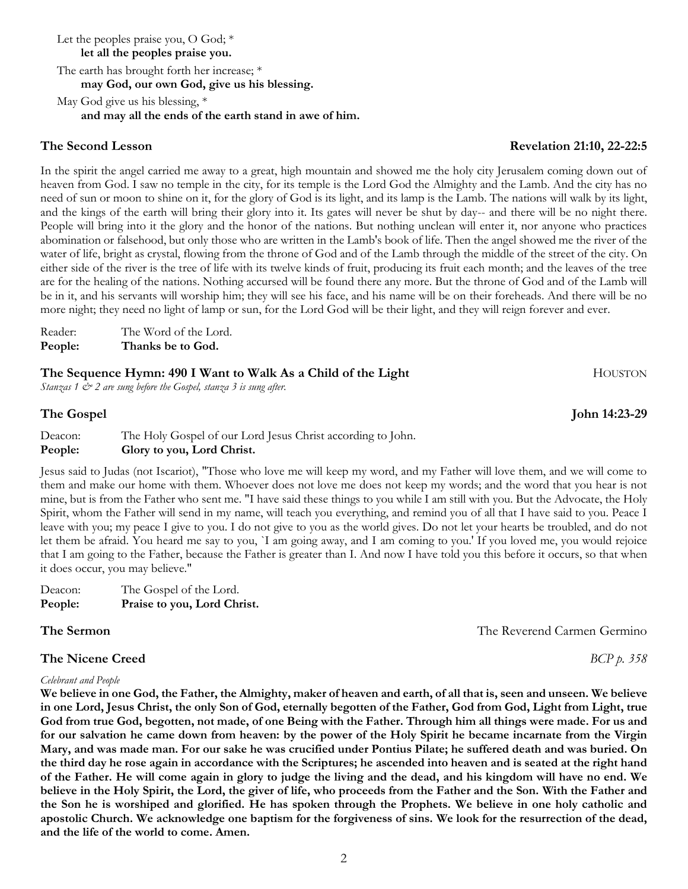# Let the peoples praise you, O God;  $*$ **let all the peoples praise you.** The earth has brought forth her increase; \* **may God, our own God, give us his blessing.** May God give us his blessing, \*

**and may all the ends of the earth stand in awe of him.**

In the spirit the angel carried me away to a great, high mountain and showed me the holy city Jerusalem coming down out of heaven from God. I saw no temple in the city, for its temple is the Lord God the Almighty and the Lamb. And the city has no need of sun or moon to shine on it, for the glory of God is its light, and its lamp is the Lamb. The nations will walk by its light, and the kings of the earth will bring their glory into it. Its gates will never be shut by day-- and there will be no night there. People will bring into it the glory and the honor of the nations. But nothing unclean will enter it, nor anyone who practices abomination or falsehood, but only those who are written in the Lamb's book of life. Then the angel showed me the river of the water of life, bright as crystal, flowing from the throne of God and of the Lamb through the middle of the street of the city. On either side of the river is the tree of life with its twelve kinds of fruit, producing its fruit each month; and the leaves of the tree are for the healing of the nations. Nothing accursed will be found there any more. But the throne of God and of the Lamb will be in it, and his servants will worship him; they will see his face, and his name will be on their foreheads. And there will be no more night; they need no light of lamp or sun, for the Lord God will be their light, and they will reign forever and ever.

| Reader: | The Word of the Lord. |
|---------|-----------------------|
| People: | Thanks be to God.     |

# **The Sequence Hymn: 490 I Want to Walk As a Child of the Light FIGUSTON** HOUSTON

*Stanzas 1 & 2 are sung before the Gospel, stanza 3 is sung after.*

# **The Gospel John 14:23-29**

Deacon: The Holy Gospel of our Lord Jesus Christ according to John. **People: Glory to you, Lord Christ.**

Jesus said to Judas (not Iscariot), "Those who love me will keep my word, and my Father will love them, and we will come to them and make our home with them. Whoever does not love me does not keep my words; and the word that you hear is not mine, but is from the Father who sent me. "I have said these things to you while I am still with you. But the Advocate, the Holy Spirit, whom the Father will send in my name, will teach you everything, and remind you of all that I have said to you. Peace I leave with you; my peace I give to you. I do not give to you as the world gives. Do not let your hearts be troubled, and do not let them be afraid. You heard me say to you, `I am going away, and I am coming to you.' If you loved me, you would rejoice that I am going to the Father, because the Father is greater than I. And now I have told you this before it occurs, so that when it does occur, you may believe."

| Deacon: | The Gospel of the Lord.     |
|---------|-----------------------------|
| People: | Praise to you, Lord Christ. |

# **The Nicene Creed** *BCP p. 358*

#### *Celebrant and People*

**We believe in one God, the Father, the Almighty, maker of heaven and earth, of all that is, seen and unseen. We believe in one Lord, Jesus Christ, the only Son of God, eternally begotten of the Father, God from God, Light from Light, true God from true God, begotten, not made, of one Being with the Father. Through him all things were made. For us and for our salvation he came down from heaven: by the power of the Holy Spirit he became incarnate from the Virgin Mary, and was made man. For our sake he was crucified under Pontius Pilate; he suffered death and was buried. On the third day he rose again in accordance with the Scriptures; he ascended into heaven and is seated at the right hand of the Father. He will come again in glory to judge the living and the dead, and his kingdom will have no end. We believe in the Holy Spirit, the Lord, the giver of life, who proceeds from the Father and the Son. With the Father and the Son he is worshiped and glorified. He has spoken through the Prophets. We believe in one holy catholic and apostolic Church. We acknowledge one baptism for the forgiveness of sins. We look for the resurrection of the dead, and the life of the world to come. Amen.**

#### **The Second Lesson Revelation 21:10, 22-22:5**

**The Sermon** The Reverend Carmen Germino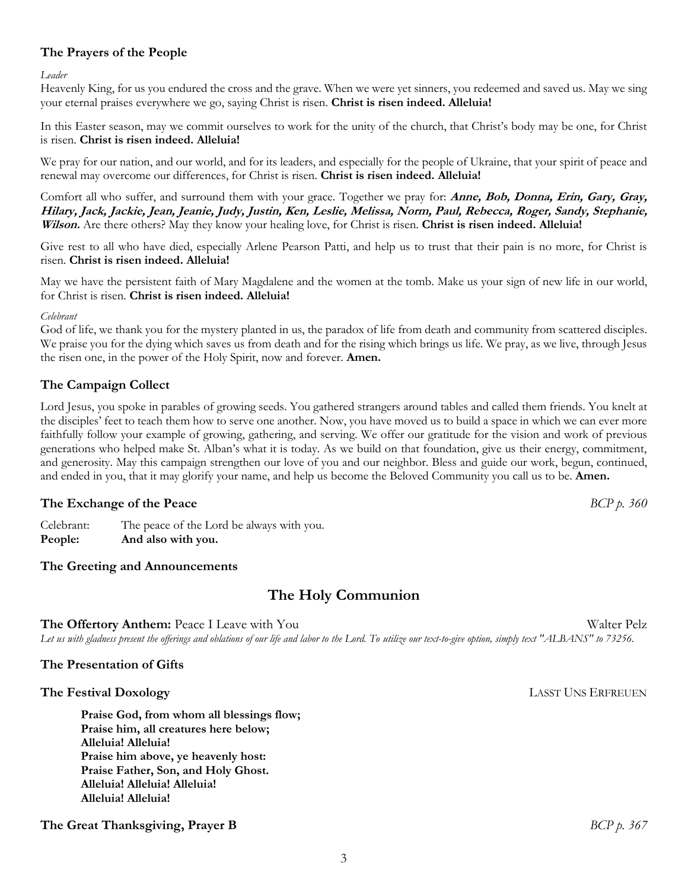# **The Prayers of the People**

#### *Leader*

Heavenly King, for us you endured the cross and the grave. When we were yet sinners, you redeemed and saved us. May we sing your eternal praises everywhere we go, saying Christ is risen. **Christ is risen indeed. Alleluia!**

In this Easter season, may we commit ourselves to work for the unity of the church, that Christ's body may be one, for Christ is risen. **Christ is risen indeed. Alleluia!**

We pray for our nation, and our world, and for its leaders, and especially for the people of Ukraine, that your spirit of peace and renewal may overcome our differences, for Christ is risen. **Christ is risen indeed. Alleluia!**

Comfort all who suffer, and surround them with your grace. Together we pray for: **Anne, Bob, Donna, Erin, Gary, Gray, Hilary, Jack, Jackie, Jean, Jeanie, Judy, Justin, Ken, Leslie, Melissa, Norm, Paul, Rebecca, Roger, Sandy, Stephanie, Wilson.** Are there others? May they know your healing love, for Christ is risen. **Christ is risen indeed. Alleluia!**

Give rest to all who have died, especially Arlene Pearson Patti, and help us to trust that their pain is no more, for Christ is risen. **Christ is risen indeed. Alleluia!**

May we have the persistent faith of Mary Magdalene and the women at the tomb. Make us your sign of new life in our world, for Christ is risen. **Christ is risen indeed. Alleluia!**

#### *Celebrant*

God of life, we thank you for the mystery planted in us, the paradox of life from death and community from scattered disciples. We praise you for the dying which saves us from death and for the rising which brings us life. We pray, as we live, through Jesus the risen one, in the power of the Holy Spirit, now and forever. **Amen.**

# **The Campaign Collect**

Lord Jesus, you spoke in parables of growing seeds. You gathered strangers around tables and called them friends. You knelt at the disciples' feet to teach them how to serve one another. Now, you have moved us to build a space in which we can ever more faithfully follow your example of growing, gathering, and serving. We offer our gratitude for the vision and work of previous generations who helped make St. Alban's what it is today. As we build on that foundation, give us their energy, commitment, and generosity. May this campaign strengthen our love of you and our neighbor. Bless and guide our work, begun, continued, and ended in you, that it may glorify your name, and help us become the Beloved Community you call us to be. **Amen.**

# **The Exchange of the Peace** *BCP p. 360*

Celebrant: The peace of the Lord be always with you. **People: And also with you.** 

# **The Greeting and Announcements**

# **The Holy Communion**

**The Offertory Anthem:** Peace I Leave with You Walter Pelz *Let us with gladness present the offerings and oblations of our life and labor to the Lord. To utilize our text-to-give option, simply text "ALBANS" to 73256.*

# **The Presentation of Gifts**

# **The Festival Doxology LASST UNS ERFREUEN**

**Praise God, from whom all blessings flow; Praise him, all creatures here below; Alleluia! Alleluia! Praise him above, ye heavenly host: Praise Father, Son, and Holy Ghost. Alleluia! Alleluia! Alleluia! Alleluia! Alleluia!**

**The Great Thanksgiving, Prayer B BCP** *BCP BCP BCP BCP BCP BCP BCP BCP BCP BCP BCP BCP BCP BCP BCP BCP BCP BCP BCP BCP BCP BCP BCP BCP BCP BCP BCP BCP BCP BCP*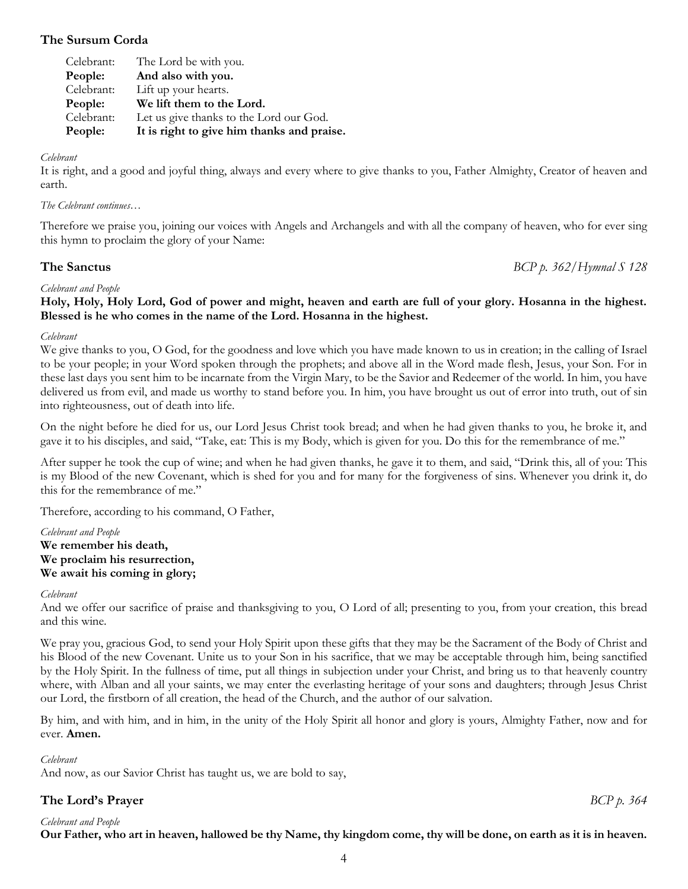# **The Sursum Corda**

Celebrant: The Lord be with you. **People: And also with you.** Celebrant: Lift up your hearts. **People: We lift them to the Lord.** Celebrant: Let us give thanks to the Lord our God. **People: It is right to give him thanks and praise.**

# *Celebrant*

It is right, and a good and joyful thing, always and every where to give thanks to you, Father Almighty, Creator of heaven and earth.

#### *The Celebrant continues…*

Therefore we praise you, joining our voices with Angels and Archangels and with all the company of heaven, who for ever sing this hymn to proclaim the glory of your Name:

# **The Sanctus** *BCP p. 362/Hymnal S 128*

# *Celebrant and People*

**Holy, Holy, Holy Lord, God of power and might, heaven and earth are full of your glory. Hosanna in the highest. Blessed is he who comes in the name of the Lord. Hosanna in the highest.**

# *Celebrant*

We give thanks to you, O God, for the goodness and love which you have made known to us in creation; in the calling of Israel to be your people; in your Word spoken through the prophets; and above all in the Word made flesh, Jesus, your Son. For in these last days you sent him to be incarnate from the Virgin Mary, to be the Savior and Redeemer of the world. In him, you have delivered us from evil, and made us worthy to stand before you. In him, you have brought us out of error into truth, out of sin into righteousness, out of death into life.

On the night before he died for us, our Lord Jesus Christ took bread; and when he had given thanks to you, he broke it, and gave it to his disciples, and said, "Take, eat: This is my Body, which is given for you. Do this for the remembrance of me."

After supper he took the cup of wine; and when he had given thanks, he gave it to them, and said, "Drink this, all of you: This is my Blood of the new Covenant, which is shed for you and for many for the forgiveness of sins. Whenever you drink it, do this for the remembrance of me."

Therefore, according to his command, O Father,

# *Celebrant and People*

**We remember his death, We proclaim his resurrection, We await his coming in glory;**

#### *Celebrant*

And we offer our sacrifice of praise and thanksgiving to you, O Lord of all; presenting to you, from your creation, this bread and this wine.

We pray you, gracious God, to send your Holy Spirit upon these gifts that they may be the Sacrament of the Body of Christ and his Blood of the new Covenant. Unite us to your Son in his sacrifice, that we may be acceptable through him, being sanctified by the Holy Spirit. In the fullness of time, put all things in subjection under your Christ, and bring us to that heavenly country where, with Alban and all your saints, we may enter the everlasting heritage of your sons and daughters; through Jesus Christ our Lord, the firstborn of all creation, the head of the Church, and the author of our salvation.

By him, and with him, and in him, in the unity of the Holy Spirit all honor and glory is yours, Almighty Father, now and for ever. **Amen.**

# *Celebrant*

And now, as our Savior Christ has taught us, we are bold to say,

# **The Lord's Prayer** *BCP p. 364*

#### *Celebrant and People*

**Our Father, who art in heaven, hallowed be thy Name, thy kingdom come, thy will be done, on earth as it is in heaven.**